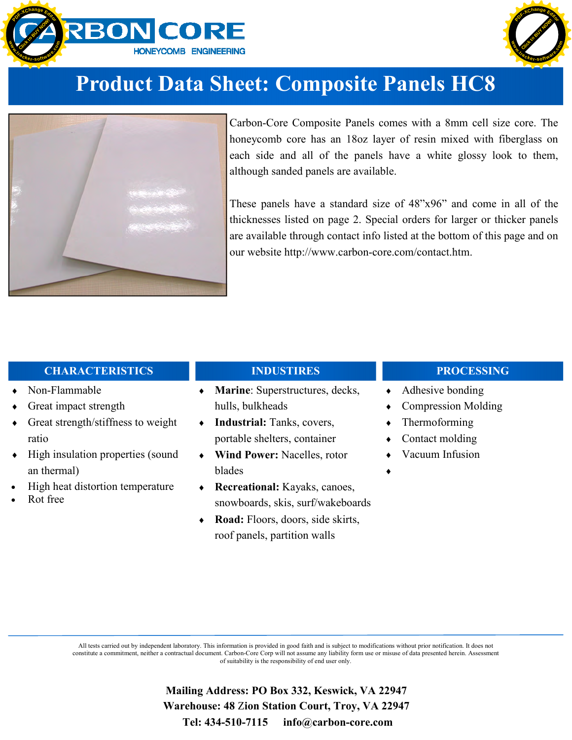



## **Product Data Sheet: Composite Panels HC8**



Carbon-Core Composite Panels comes with a 8mm cell size core. The honeycomb core has an 18oz layer of resin mixed with fiberglass on each side and all of the panels have a white glossy look to them, although sanded panels are available.

These panels have a standard size of 48"x96" and come in all of the thicknesses listed on page 2. Special orders for larger or thicker panels are available through contact info listed at the bottom of this page and on our website http://www.carbon-core.com/contact.htm.

### **CHARACTERISTICS**

- Non-Flammable
- Great impact strength
- Great strength/stiffness to weight ratio
- High insulation properties (sound an thermal)
- High heat distortion temperature
- Rot free

## **INDUSTIRES**

- ♦ **Marine**: Superstructures, decks, hulls, bulkheads
- ♦ **Industrial:** Tanks, covers, portable shelters, container
- **Wind Power: Nacelles, rotor** blades
- ♦ **Recreational:** Kayaks, canoes, snowboards, skis, surf/wakeboards
- Road: Floors, doors, side skirts, roof panels, partition walls

#### **PROCESSING**

- ♦ Adhesive bonding
- Compression Molding
- $\bullet$  Thermoforming
- Contact molding
- Vacuum Infusion
- $\bullet$

All tests carried out by independent laboratory. This information is provided in good faith and is subject to modifications without prior notification. It does not constitute a commitment, neither a contractual document. Carbon-Core Corp will not assume any liability form use or misuse of data presented herein. Assessment of suitability is the responsibility of end user only.

> **Mailing Address: PO Box 332, Keswick, VA 22947 Warehouse: 48** Z**ion Station Court, Troy, VA 22947 Tel: 434-510-7115 info@carbon-core.com**